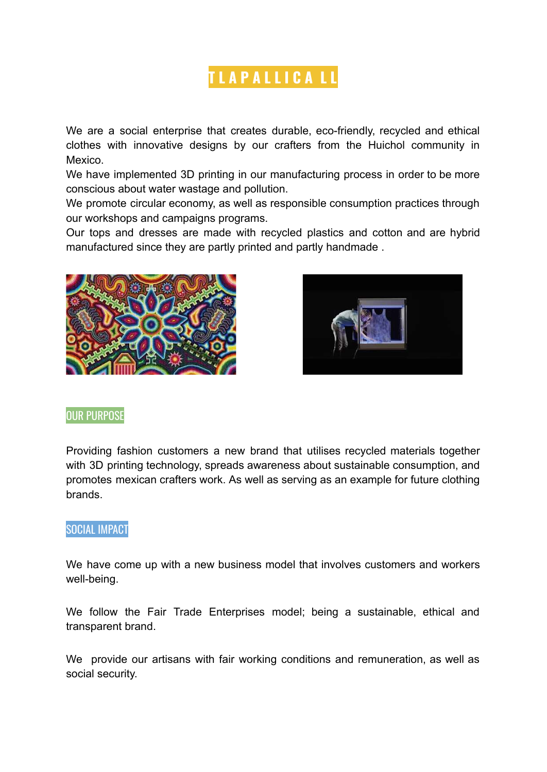# **T L A P A L L I C A L L**

We are a social enterprise that creates durable, eco-friendly, recycled and ethical clothes with innovative designs by our crafters from the Huichol community in Mexico.

We have implemented 3D printing in our manufacturing process in order to be more conscious about water wastage and pollution.

We promote circular economy, as well as responsible consumption practices through our workshops and campaigns programs.

Our tops and dresses are made with recycled plastics and cotton and are hybrid manufactured since they are partly printed and partly handmade .





#### OUR PURPOSE

Providing fashion customers a new brand that utilises recycled materials together with 3D printing technology, spreads awareness about sustainable consumption, and promotes mexican crafters work. As well as serving as an example for future clothing brands.

#### SOCIAL IMPACT

We have come up with a new business model that involves customers and workers well-being.

We follow the Fair Trade Enterprises model; being a sustainable, ethical and transparent brand.

We provide our artisans with fair working conditions and remuneration, as well as social security.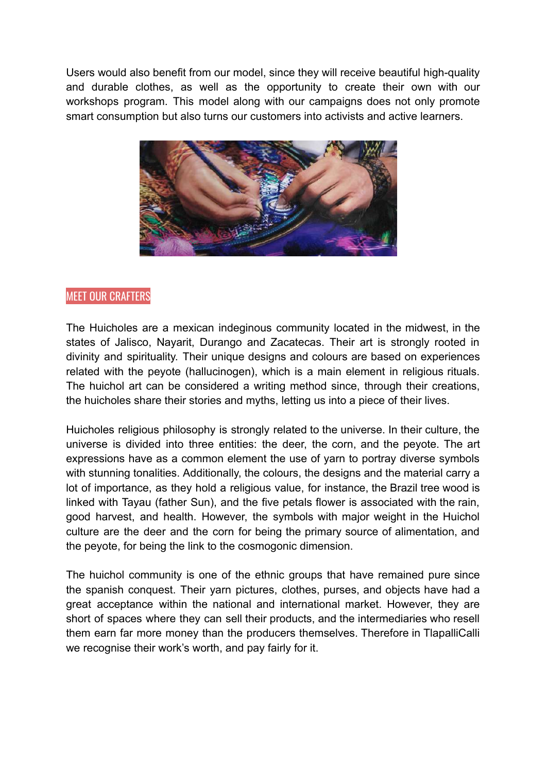Users would also benefit from our model, since they will receive beautiful high-quality and durable clothes, as well as the opportunity to create their own with our workshops program. This model along with our campaigns does not only promote smart consumption but also turns our customers into activists and active learners.



## MEET OUR CRAFTERS

The Huicholes are a mexican indeginous community located in the midwest, in the states of Jalisco, Nayarit, Durango and Zacatecas. Their art is strongly rooted in divinity and spirituality. Their unique designs and colours are based on experiences related with the peyote (hallucinogen), which is a main element in religious rituals. The huichol art can be considered a writing method since, through their creations, the huicholes share their stories and myths, letting us into a piece of their lives.

Huicholes religious philosophy is strongly related to the universe. In their culture, the universe is divided into three entities: the deer, the corn, and the peyote. The art expressions have as a common element the use of yarn to portray diverse symbols with stunning tonalities. Additionally, the colours, the designs and the material carry a lot of importance, as they hold a religious value, for instance, the Brazil tree wood is linked with Tayau (father Sun), and the five petals flower is associated with the rain, good harvest, and health. However, the symbols with major weight in the Huichol culture are the deer and the corn for being the primary source of alimentation, and the peyote, for being the link to the cosmogonic dimension.

The huichol community is one of the ethnic groups that have remained pure since the spanish conquest. Their yarn pictures, clothes, purses, and objects have had a great acceptance within the national and international market. However, they are short of spaces where they can sell their products, and the intermediaries who resell them earn far more money than the producers themselves. Therefore in TlapalliCalli we recognise their work's worth, and pay fairly for it.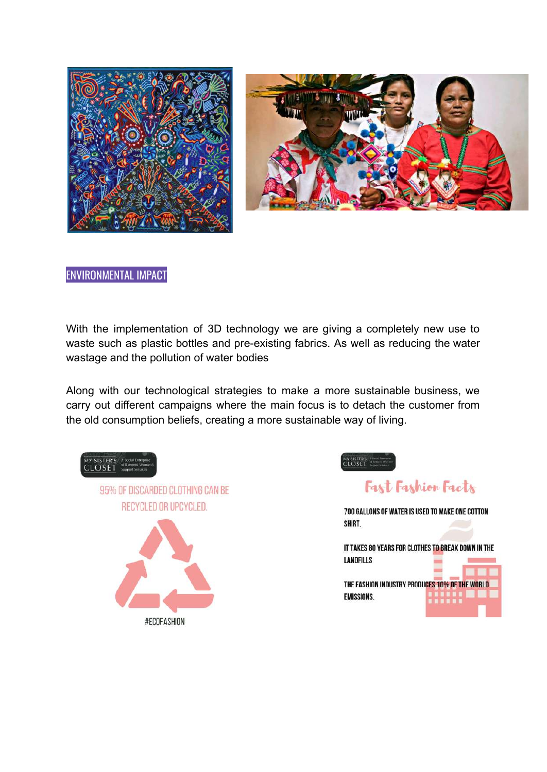



### ENVIRONMENTAL IMPACT

With the implementation of 3D technology we are giving a completely new use to waste such as plastic bottles and pre-existing fabrics. As well as reducing the water wastage and the pollution of water bodies

Along with our technological strategies to make a more sustainable business, we carry out different campaigns where the main focus is to detach the customer from the old consumption beliefs, creating a more sustainable way of living.

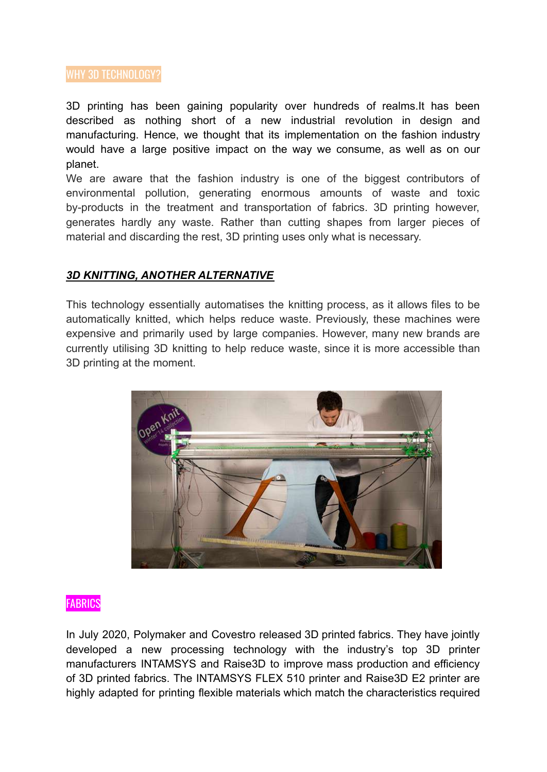#### WHY 3D TECHNOLOGY?

3D printing has been gaining popularity over hundreds of realms.It has been described as nothing short of a new industrial [revolution](https://techcrunch.com/2016/02/26/is-3d-printing-the-next-industrial-revolution/) in design and manufacturing. Hence, we thought that its implementation on the fashion industry would have a large positive impact on the way we consume, as well as on our planet.

We are aware that the fashion industry is one of the biggest contributors of environmental pollution, generating enormous amounts of waste and toxic by-products in the treatment and transportation of fabrics. 3D printing however, generates hardly any waste. Rather than cutting shapes from larger pieces of material and discarding the rest, 3D printing uses only what is necessary.

#### *3D KNITTING, ANOTHER ALTERNATIVE*

This technology essentially automatises the knitting process, as it allows files to be automatically knitted, which helps reduce waste. Previously, these machines were expensive and primarily used by large companies. However, many new brands are currently utilising 3D knitting to help reduce waste, since it is more accessible than 3D printing at the moment.



#### **FABRICS**

In July 2020, Polymaker and Covestro released 3D printed fabrics. They have jointly developed a new processing technology with the industry's top 3D printer manufacturers INTAMSYS and Raise3D to improve mass production and efficiency of 3D printed fabrics. The INTAMSYS FLEX 510 printer and Raise3D E2 printer are highly adapted for printing flexible materials which match the characteristics required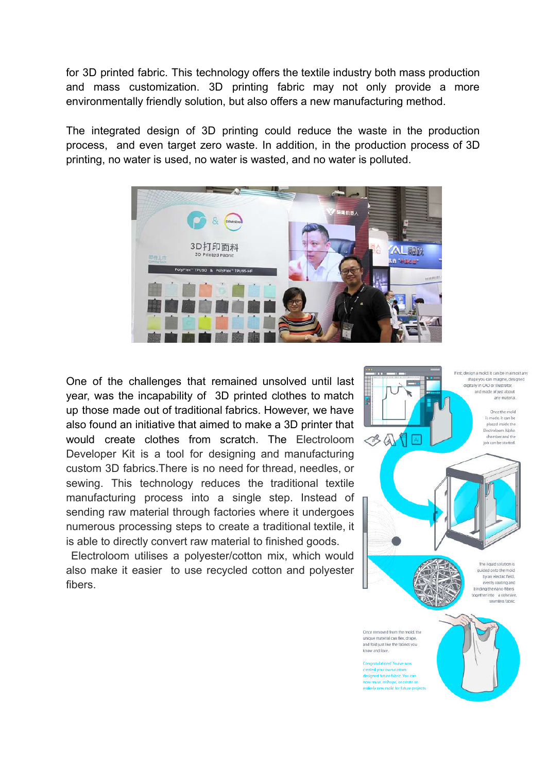for 3D printed fabric. This technology offers the textile industry both mass production and mass customization. 3D printing fabric may not only provide a more environmentally friendly solution, but also offers a new manufacturing method.

The integrated design of 3D printing could reduce the waste in the production process, and even target zero waste. In addition, in the production process of 3D printing, no water is used, no water is wasted, and no water is polluted.



One of the challenges that remained unsolved until last year, was the incapability of 3D printed clothes to match up those made out of traditional fabrics. However, we have also found an initiative that aimed to make a 3D printer that would create clothes from scratch. The Electroloom Developer Kit is a tool for designing and manufacturing custom 3D fabrics.There is no need for thread, needles, or sewing. This technology reduces the traditional textile manufacturing process into a single step. Instead of sending raw material through factories where it undergoes numerous processing steps to create a traditional textile, it is able to directly convert raw material to finished goods.

Electroloom utilises a polyester/cotton mix, which would also make it easier to use recycled cotton and polyester fibers.

First, design a mold! It can be in almost any shape you can imagine, desig digitally in CAD or illustrator. and made of just about any material. Once the mold is made, it can be nlared inside the Electroloom Alpha  $\ll$  A chamber and the job can be started The liquid solution is quided onto the mold by an electric field, wenly coating and binding the nano-fibers logether into a cohesive seamless fabric. Once removed from the mold, the ue material can flex, drape,

and fold just like the fabrics you know and love. Congratulations Voulus n

created your own custom<br>designed future fabric. You can mua mbana nema tirely new mold for future projects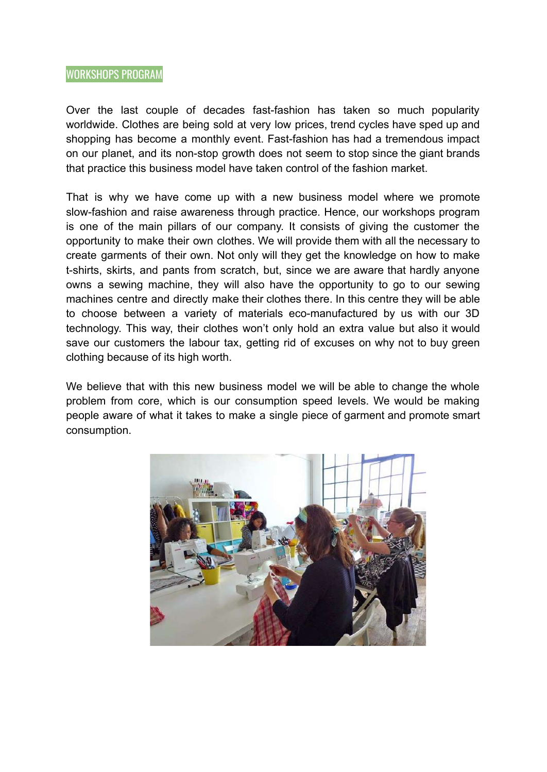#### WORKSHOPS PROGRAM

Over the last couple of decades fast-fashion has taken so much popularity worldwide. Clothes are being sold at very low prices, trend cycles have sped up and shopping has become a monthly event. Fast-fashion has had a tremendous impact on our planet, and its non-stop growth does not seem to stop since the giant brands that practice this business model have taken control of the fashion market.

That is why we have come up with a new business model where we promote slow-fashion and raise awareness through practice. Hence, our workshops program is one of the main pillars of our company. It consists of giving the customer the opportunity to make their own clothes. We will provide them with all the necessary to create garments of their own. Not only will they get the knowledge on how to make t-shirts, skirts, and pants from scratch, but, since we are aware that hardly anyone owns a sewing machine, they will also have the opportunity to go to our sewing machines centre and directly make their clothes there. In this centre they will be able to choose between a variety of materials eco-manufactured by us with our 3D technology. This way, their clothes won't only hold an extra value but also it would save our customers the labour tax, getting rid of excuses on why not to buy green clothing because of its high worth.

We believe that with this new business model we will be able to change the whole problem from core, which is our consumption speed levels. We would be making people aware of what it takes to make a single piece of garment and promote smart consumption.

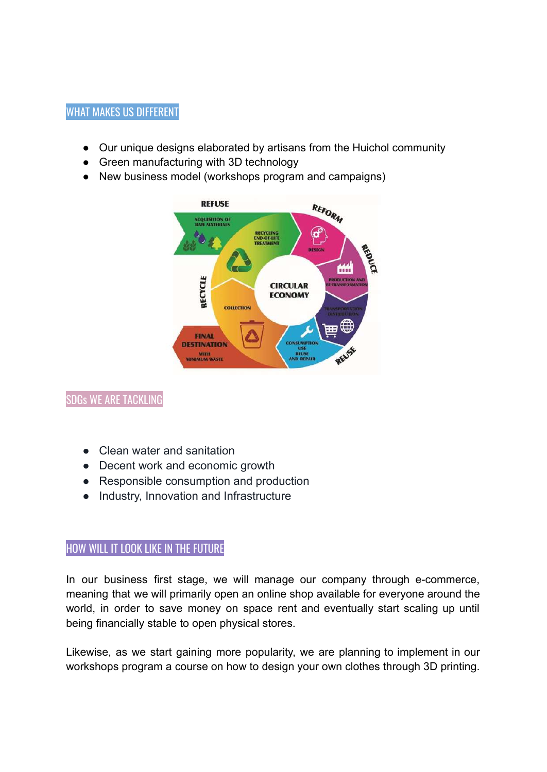## WHAT MAKES US DIFFERENT

- Our unique designs elaborated by artisans from the Huichol community
- Green manufacturing with 3D technology
- New business model (workshops program and campaigns)



## SDGs WE ARE TACKLING

- Clean water and sanitation
- Decent work and economic growth
- Responsible consumption and production
- Industry, Innovation and Infrastructure

## HOW WILL IT LOOK LIKE IN THE FUTURE

In our business first stage, we will manage our company through e-commerce, meaning that we will primarily open an online shop available for everyone around the world, in order to save money on space rent and eventually start scaling up until being financially stable to open physical stores.

Likewise, as we start gaining more popularity, we are planning to implement in our workshops program a course on how to design your own clothes through 3D printing.